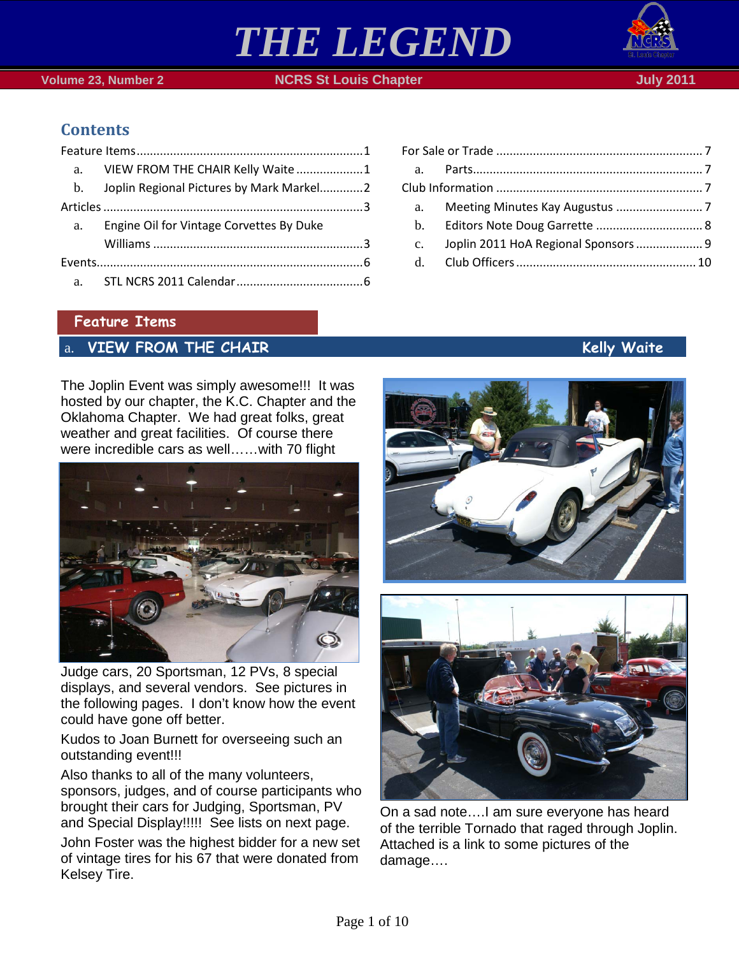

 **Volume 23, Number 2 NGRS St Louis Chapter July 2011 July 2011** 

# **Contents**

|    | a. VIEW FROM THE CHAIR Kelly Waite 1        |  |
|----|---------------------------------------------|--|
|    | b. Joplin Regional Pictures by Mark Markel2 |  |
|    |                                             |  |
| a. | Engine Oil for Vintage Corvettes By Duke    |  |
|    |                                             |  |
|    |                                             |  |
|    |                                             |  |

### <span id="page-0-0"></span>**Feature Items**

# <span id="page-0-1"></span>a. **VIEW FROM THE CHAIR Kelly Waite**

The Joplin Event was simply awesome!!! It was hosted by our chapter, the K.C. Chapter and the Oklahoma Chapter. We had great folks, great weather and great facilities. Of course there were incredible cars as well……with 70 flight



Judge cars, 20 Sportsman, 12 PVs, 8 special displays, and several vendors. See pictures in the following pages. I don't know how the event could have gone off better.

Kudos to Joan Burnett for overseeing such an outstanding event!!!

Also thanks to all of the many volunteers, sponsors, judges, and of course participants who brought their cars for Judging, Sportsman, PV and Special Display!!!!! See lists on next page.

John Foster was the highest bidder for a new set of vintage tires for his 67 that were donated from Kelsey Tire.

| a.          |                                      |  |
|-------------|--------------------------------------|--|
|             |                                      |  |
| $c_{\cdot}$ | Joplin 2011 HoA Regional Sponsors  9 |  |
|             |                                      |  |
|             |                                      |  |





On a sad note….I am sure everyone has heard of the terrible Tornado that raged through Joplin. Attached is a link to some pictures of the damage….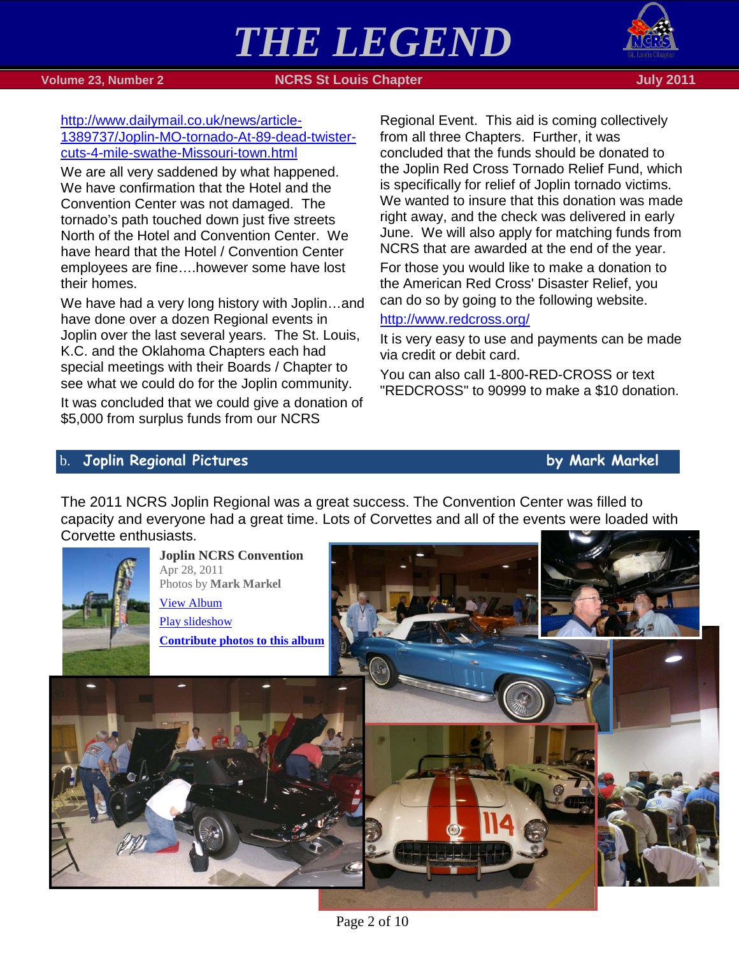

 **Volume 23, Number 2 NGRS St Louis Chapter July 2011 July 2011** 

[http://www.dailymail.co.uk/news/article-](http://www.dailymail.co.uk/news/article-1389737/Joplin-MO-tornado-At-89-dead-twister-cuts-4-mile-swathe-Missouri-town.html)[1389737/Joplin-MO-tornado-At-89-dead-twister](http://www.dailymail.co.uk/news/article-1389737/Joplin-MO-tornado-At-89-dead-twister-cuts-4-mile-swathe-Missouri-town.html)[cuts-4-mile-swathe-Missouri-town.html](http://www.dailymail.co.uk/news/article-1389737/Joplin-MO-tornado-At-89-dead-twister-cuts-4-mile-swathe-Missouri-town.html)

We are all very saddened by what happened. We have confirmation that the Hotel and the Convention Center was not damaged. The tornado's path touched down just five streets North of the Hotel and Convention Center. We have heard that the Hotel / Convention Center employees are fine….however some have lost their homes.

We have had a very long history with Joplin…and have done over a dozen Regional events in Joplin over the last several years. The St. Louis, K.C. and the Oklahoma Chapters each had special meetings with their Boards / Chapter to see what we could do for the Joplin community.

It was concluded that we could give a donation of \$5,000 from surplus funds from our NCRS

Regional Event. This aid is coming collectively from all three Chapters. Further, it was concluded that the funds should be donated to the Joplin Red Cross Tornado Relief Fund, which is specifically for relief of Joplin tornado victims. We wanted to insure that this donation was made right away, and the check was delivered in early June. We will also apply for matching funds from NCRS that are awarded at the end of the year.

For those you would like to make a donation to the American Red Cross' Disaster Relief, you can do so by going to the following website.

## <http://www.redcross.org/>

It is very easy to use and payments can be made via credit or debit card.

You can also call 1-800-RED-CROSS or text "REDCROSS" to 90999 to make a \$10 donation.

# <span id="page-1-0"></span>b. **Joplin Regional Pictures by Mark Markel**

The 2011 NCRS Joplin Regional was a great success. The Convention Center was filled to capacity and everyone had a great time. Lots of Corvettes and all of the events were loaded with Corvette enthusiasts.



**Joplin NCRS Convention** Apr 28, 2011 Photos by **Mark Markel** [View Album](https://picasaweb.google.com/lh/sredir?uname=DougandCherie&target=ALBUM&id=5624078078102203361&authkey=Gv1sRgCIbltfjoxKGjhgE&feat=email) [Play slideshow](https://picasaweb.google.com/lh/sredir?uname=DougandCherie&target=ALBUM&id=5624078078102203361&authkey=Gv1sRgCIbltfjoxKGjhgE&feat=email&mode=SLIDESHOW) **[Contribute photos to this album](https://picasaweb.google.com/lh/webUpload?uname=DougandCherie&aid=5624078078102203361)**



Page 2 of 10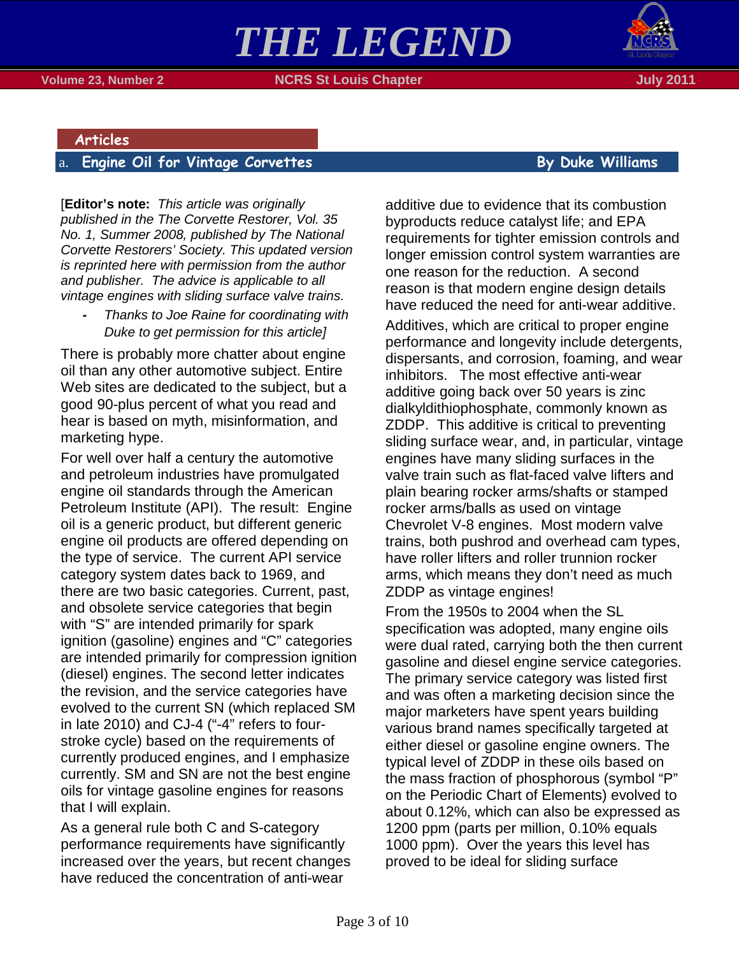



 **Volume 23, Number 2 NCRS St Louis Chapter**  $\blacksquare$  **Notified the contract of the Uuly 2011** 

#### <span id="page-2-0"></span>**Articles**

# <span id="page-2-1"></span>a. **Engine Oil for Vintage Corvettes By Duke Williams**

[**Editor's note:** *This article was originally published in the The Corvette Restorer, Vol. 35 No. 1, Summer 2008, published by The National Corvette Restorers' Society. This updated version is reprinted here with permission from the author and publisher. The advice is applicable to all vintage engines with sliding surface valve trains.*

*- Thanks to Joe Raine for coordinating with Duke to get permission for this article]*

There is probably more chatter about engine oil than any other automotive subject. Entire Web sites are dedicated to the subject, but a good 90-plus percent of what you read and hear is based on myth, misinformation, and marketing hype.

For well over half a century the automotive and petroleum industries have promulgated engine oil standards through the American Petroleum Institute (API). The result: Engine oil is a generic product, but different generic engine oil products are offered depending on the type of service. The current API service category system dates back to 1969, and there are two basic categories. Current, past, and obsolete service categories that begin with "S" are intended primarily for spark ignition (gasoline) engines and "C" categories are intended primarily for compression ignition (diesel) engines. The second letter indicates the revision, and the service categories have evolved to the current SN (which replaced SM in late 2010) and CJ-4 ("-4" refers to fourstroke cycle) based on the requirements of currently produced engines, and I emphasize currently. SM and SN are not the best engine oils for vintage gasoline engines for reasons that I will explain.

As a general rule both C and S-category performance requirements have significantly increased over the years, but recent changes have reduced the concentration of anti-wear

additive due to evidence that its combustion byproducts reduce catalyst life; and EPA requirements for tighter emission controls and longer emission control system warranties are one reason for the reduction. A second reason is that modern engine design details have reduced the need for anti-wear additive.

Additives, which are critical to proper engine performance and longevity include detergents, dispersants, and corrosion, foaming, and wear inhibitors. The most effective anti-wear additive going back over 50 years is zinc dialkyldithiophosphate, commonly known as ZDDP. This additive is critical to preventing sliding surface wear, and, in particular, vintage engines have many sliding surfaces in the valve train such as flat-faced valve lifters and plain bearing rocker arms/shafts or stamped rocker arms/balls as used on vintage Chevrolet V-8 engines. Most modern valve trains, both pushrod and overhead cam types, have roller lifters and roller trunnion rocker arms, which means they don't need as much ZDDP as vintage engines!

From the 1950s to 2004 when the SL specification was adopted, many engine oils were dual rated, carrying both the then current gasoline and diesel engine service categories. The primary service category was listed first and was often a marketing decision since the major marketers have spent years building various brand names specifically targeted at either diesel or gasoline engine owners. The typical level of ZDDP in these oils based on the mass fraction of phosphorous (symbol "P" on the Periodic Chart of Elements) evolved to about 0.12%, which can also be expressed as 1200 ppm (parts per million, 0.10% equals 1000 ppm). Over the years this level has proved to be ideal for sliding surface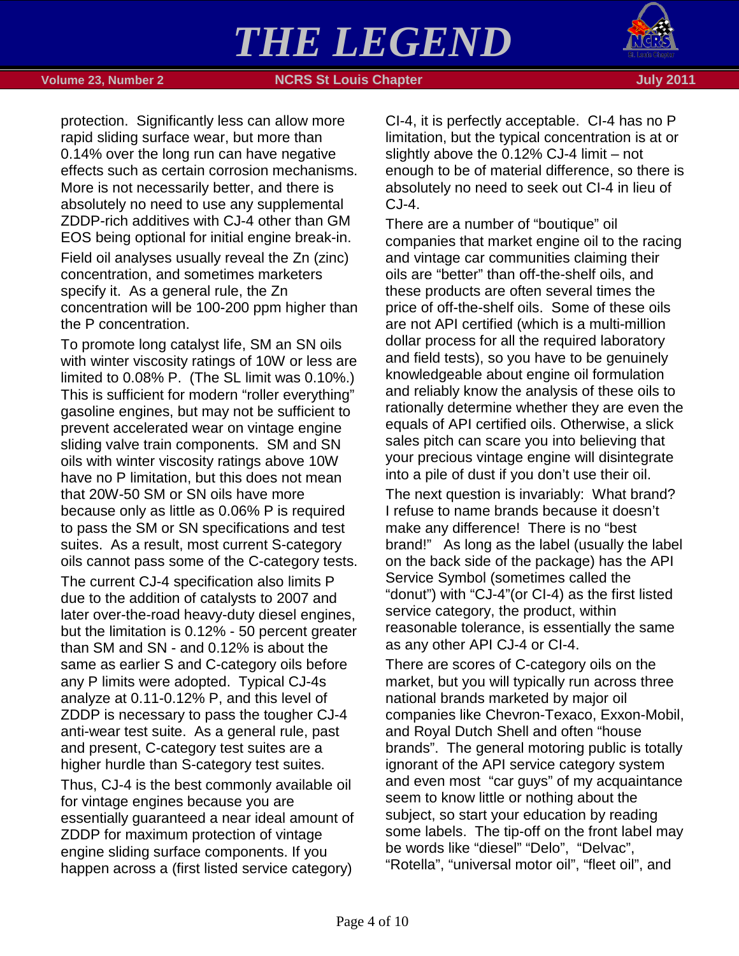

protection. Significantly less can allow more rapid sliding surface wear, but more than 0.14% over the long run can have negative effects such as certain corrosion mechanisms. More is not necessarily better, and there is absolutely no need to use any supplemental ZDDP-rich additives with CJ-4 other than GM EOS being optional for initial engine break-in. Field oil analyses usually reveal the Zn (zinc) concentration, and sometimes marketers specify it. As a general rule, the Zn concentration will be 100-200 ppm higher than the P concentration.

To promote long catalyst life, SM an SN oils with winter viscosity ratings of 10W or less are limited to 0.08% P. (The SL limit was 0.10%.) This is sufficient for modern "roller everything" gasoline engines, but may not be sufficient to prevent accelerated wear on vintage engine sliding valve train components. SM and SN oils with winter viscosity ratings above 10W have no P limitation, but this does not mean that 20W-50 SM or SN oils have more because only as little as 0.06% P is required to pass the SM or SN specifications and test suites. As a result, most current S-category oils cannot pass some of the C-category tests.

The current CJ-4 specification also limits P due to the addition of catalysts to 2007 and later over-the-road heavy-duty diesel engines, but the limitation is 0.12% - 50 percent greater than SM and SN - and 0.12% is about the same as earlier S and C-category oils before any P limits were adopted. Typical CJ-4s analyze at 0.11-0.12% P, and this level of ZDDP is necessary to pass the tougher CJ-4 anti-wear test suite. As a general rule, past and present, C-category test suites are a higher hurdle than S-category test suites.

Thus, CJ-4 is the best commonly available oil for vintage engines because you are essentially guaranteed a near ideal amount of ZDDP for maximum protection of vintage engine sliding surface components. If you happen across a (first listed service category)

CI-4, it is perfectly acceptable. CI-4 has no P limitation, but the typical concentration is at or slightly above the 0.12% CJ-4 limit – not enough to be of material difference, so there is absolutely no need to seek out CI-4 in lieu of CJ-4.

There are a number of "boutique" oil companies that market engine oil to the racing and vintage car communities claiming their oils are "better" than off-the-shelf oils, and these products are often several times the price of off-the-shelf oils. Some of these oils are not API certified (which is a multi-million dollar process for all the required laboratory and field tests), so you have to be genuinely knowledgeable about engine oil formulation and reliably know the analysis of these oils to rationally determine whether they are even the equals of API certified oils. Otherwise, a slick sales pitch can scare you into believing that your precious vintage engine will disintegrate into a pile of dust if you don't use their oil.

The next question is invariably: What brand? I refuse to name brands because it doesn't make any difference! There is no "best brand!" As long as the label (usually the label on the back side of the package) has the API Service Symbol (sometimes called the "donut") with "CJ-4"(or CI-4) as the first listed service category, the product, within reasonable tolerance, is essentially the same as any other API CJ-4 or CI-4.

There are scores of C-category oils on the market, but you will typically run across three national brands marketed by major oil companies like Chevron-Texaco, Exxon-Mobil, and Royal Dutch Shell and often "house brands". The general motoring public is totally ignorant of the API service category system and even most "car guys" of my acquaintance seem to know little or nothing about the subject, so start your education by reading some labels. The tip-off on the front label may be words like "diesel" "Delo", "Delvac", "Rotella", "universal motor oil", "fleet oil", and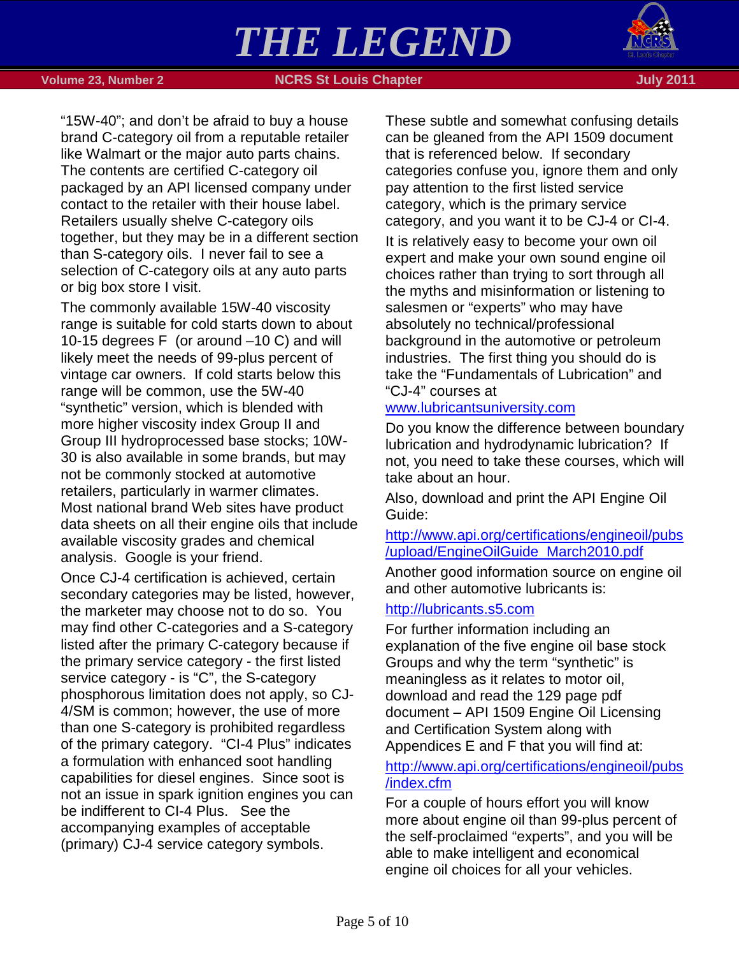

 **Volume 23, Number 2 NGRS St Louis Chapter July 2011 July 2011** 

"15W-40"; and don't be afraid to buy a house brand C-category oil from a reputable retailer like Walmart or the major auto parts chains. The contents are certified C-category oil packaged by an API licensed company under contact to the retailer with their house label. Retailers usually shelve C-category oils together, but they may be in a different section than S-category oils. I never fail to see a selection of C-category oils at any auto parts or big box store I visit.

The commonly available 15W-40 viscosity range is suitable for cold starts down to about 10-15 degrees F (or around –10 C) and will likely meet the needs of 99-plus percent of vintage car owners. If cold starts below this range will be common, use the 5W-40 "synthetic" version, which is blended with more higher viscosity index Group II and Group III hydroprocessed base stocks; 10W-30 is also available in some brands, but may not be commonly stocked at automotive retailers, particularly in warmer climates. Most national brand Web sites have product data sheets on all their engine oils that include available viscosity grades and chemical analysis. Google is your friend.

Once CJ-4 certification is achieved, certain secondary categories may be listed, however, the marketer may choose not to do so. You may find other C-categories and a S-category listed after the primary C-category because if the primary service category - the first listed service category - is "C", the S-category phosphorous limitation does not apply, so CJ-4/SM is common; however, the use of more than one S-category is prohibited regardless of the primary category. "CI-4 Plus" indicates a formulation with enhanced soot handling capabilities for diesel engines. Since soot is not an issue in spark ignition engines you can be indifferent to CI-4 Plus. See the accompanying examples of acceptable (primary) CJ-4 service category symbols.

These subtle and somewhat confusing details can be gleaned from the API 1509 document that is referenced below. If secondary categories confuse you, ignore them and only pay attention to the first listed service category, which is the primary service category, and you want it to be CJ-4 or CI-4.

It is relatively easy to become your own oil expert and make your own sound engine oil choices rather than trying to sort through all the myths and misinformation or listening to salesmen or "experts" who may have absolutely no technical/professional background in the automotive or petroleum industries. The first thing you should do is take the "Fundamentals of Lubrication" and "CJ-4" courses at

## [www.lubricantsuniversity.com](http://www.lubricantsuniversity.com/)

Do you know the difference between boundary lubrication and hydrodynamic lubrication? If not, you need to take these courses, which will take about an hour.

Also, download and print the API Engine Oil Guide:

## [http://www.api.org/certifications/engineoil/pubs](http://www.api.org/certifications/engineoil/pubs/upload/EngineOilGuide_March2010.pdf) [/upload/EngineOilGuide\\_March2010.pdf](http://www.api.org/certifications/engineoil/pubs/upload/EngineOilGuide_March2010.pdf)

Another good information source on engine oil and other automotive lubricants is:

## [http://lubricants.s5.com](http://lubricants.s5.com/)

For further information including an explanation of the five engine oil base stock Groups and why the term "synthetic" is meaningless as it relates to motor oil, download and read the 129 page pdf document – API 1509 Engine Oil Licensing and Certification System along with Appendices E and F that you will find at:

# [http://www.api.org/certifications/engineoil/pubs](http://www.api.org/certifications/engineoil/pubs/index.cfm) [/index.cfm](http://www.api.org/certifications/engineoil/pubs/index.cfm)

For a couple of hours effort you will know more about engine oil than 99-plus percent of the self-proclaimed "experts", and you will be able to make intelligent and economical engine oil choices for all your vehicles.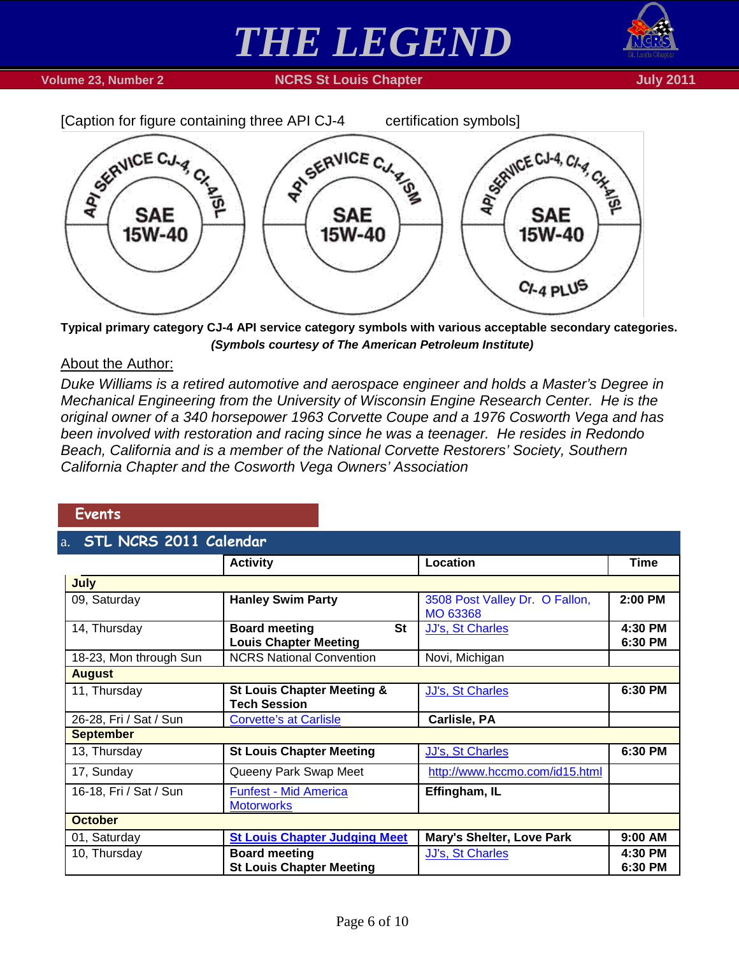





**Typical primary category CJ-4 API service category symbols with various acceptable secondary categories.**  *(Symbols courtesy of The American Petroleum Institute)*

### About the Author:

*Duke Williams is a retired automotive and aerospace engineer and holds a Master's Degree in Mechanical Engineering from the University of Wisconsin Engine Research Center. He is the original owner of a 340 horsepower 1963 Corvette Coupe and a 1976 Cosworth Vega and has been involved with restoration and racing since he was a teenager. He resides in Redondo Beach, California and is a member of the National Corvette Restorers' Society, Southern California Chapter and the Cosworth Vega Owners' Association*

### <span id="page-5-0"></span>**Events**

# <span id="page-5-1"></span>**NCDS 2011 Caler**

| <b>DILIVERS</b> COIT COMMUNIST |                                                                   |                                            |                    |  |
|--------------------------------|-------------------------------------------------------------------|--------------------------------------------|--------------------|--|
|                                | <b>Activity</b>                                                   | Location                                   | Time               |  |
| July                           |                                                                   |                                            |                    |  |
| 09, Saturday                   | <b>Hanley Swim Party</b>                                          | 3508 Post Valley Dr. O Fallon,<br>MO 63368 | 2:00 PM            |  |
| 14, Thursday                   | <b>St</b><br><b>Board meeting</b><br><b>Louis Chapter Meeting</b> | <b>JJ's, St Charles</b>                    | 4:30 PM<br>6:30 PM |  |
| 18-23, Mon through Sun         | <b>NCRS National Convention</b>                                   | Novi, Michigan                             |                    |  |
| <b>August</b>                  |                                                                   |                                            |                    |  |
| 11, Thursday                   | <b>St Louis Chapter Meeting &amp;</b><br><b>Tech Session</b>      | <b>JJ's, St Charles</b>                    | 6:30 PM            |  |
| 26-28, Fri / Sat / Sun         | <b>Corvette's at Carlisle</b>                                     | Carlisle, PA                               |                    |  |
| <b>September</b>               |                                                                   |                                            |                    |  |
| 13, Thursday                   | <b>St Louis Chapter Meeting</b>                                   | <b>JJ's, St Charles</b>                    | 6:30 PM            |  |
| 17, Sunday                     | Queeny Park Swap Meet                                             | http://www.hccmo.com/id15.html             |                    |  |
| 16-18, Fri / Sat / Sun         | <b>Funfest - Mid America</b><br><b>Motorworks</b>                 | Effingham, IL                              |                    |  |
| <b>October</b>                 |                                                                   |                                            |                    |  |
| 01, Saturday                   | <b>St Louis Chapter Judging Meet</b>                              | Mary's Shelter, Love Park                  | 9:00 AM            |  |
| 10, Thursday                   | <b>Board meeting</b>                                              | JJ's, St Charles                           | 4:30 PM            |  |
|                                | <b>St Louis Chapter Meeting</b>                                   |                                            | 6:30 PM            |  |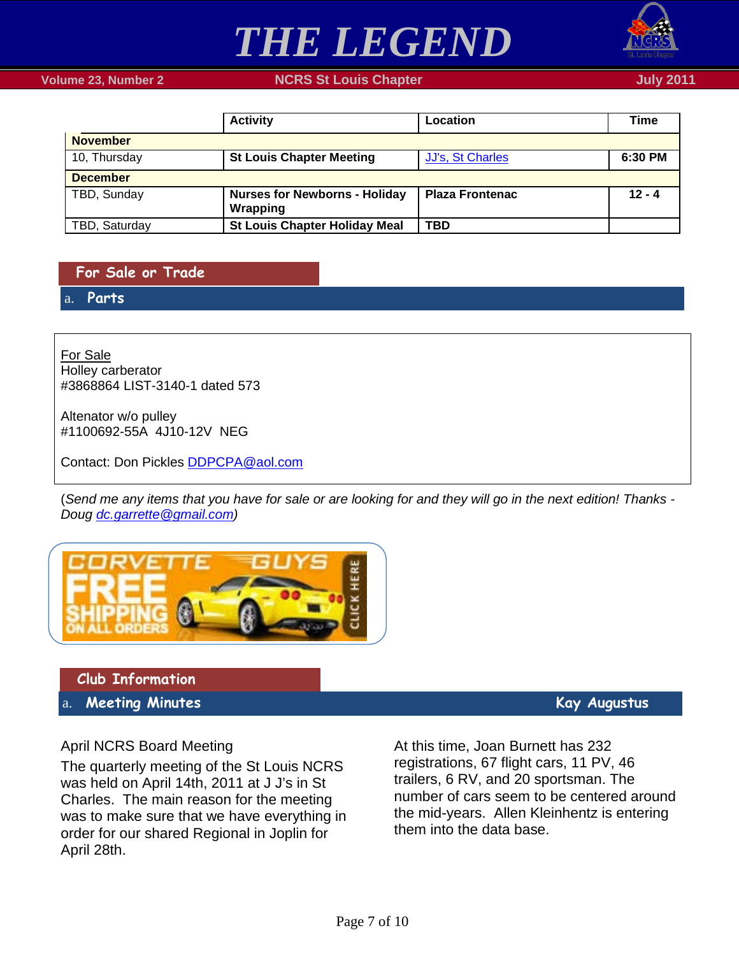



 **Volume 23, Number 2 NGRS St Louis Chapter July 2011 July 2011** 

|                 | <b>Activity</b>                                  | Location               | Time     |
|-----------------|--------------------------------------------------|------------------------|----------|
| <b>November</b> |                                                  |                        |          |
| 10, Thursday    | <b>St Louis Chapter Meeting</b>                  | JJ's, St Charles       | 6:30 PM  |
| <b>December</b> |                                                  |                        |          |
| TBD, Sunday     | <b>Nurses for Newborns - Holiday</b><br>Wrapping | <b>Plaza Frontenac</b> | $12 - 4$ |
| TBD, Saturday   | <b>St Louis Chapter Holiday Meal</b>             | <b>TBD</b>             |          |

<span id="page-6-0"></span>**For Sale or Trade**

<span id="page-6-1"></span>a. **Parts**

Holley carberator For Sale #3868864 LIST-3140-1 dated 573

Altenator w/o pulley #1100692-55A 4J10-12V NEG

Contact: Don Pickles **DDPCPA@aol.com** 

(*Send me any items that you have for sale or are looking for and they will go in the next edition! Thanks - Doug [dc.garrette@gmail.com\)](mailto:dc.garrette@gmail.com)*



<span id="page-6-2"></span>**Club Information**

<span id="page-6-3"></span>a. **Meeting Minutes Kay Augustus** 

## April NCRS Board Meeting

The quarterly meeting of the St Louis NCRS was held on April 14th, 2011 at J J's in St Charles. The main reason for the meeting was to make sure that we have everything in order for our shared Regional in Joplin for April 28th.

At this time, Joan Burnett has 232 registrations, 67 flight cars, 11 PV, 46 trailers, 6 RV, and 20 sportsman. The number of cars seem to be centered around the mid-years. Allen Kleinhentz is entering them into the data base.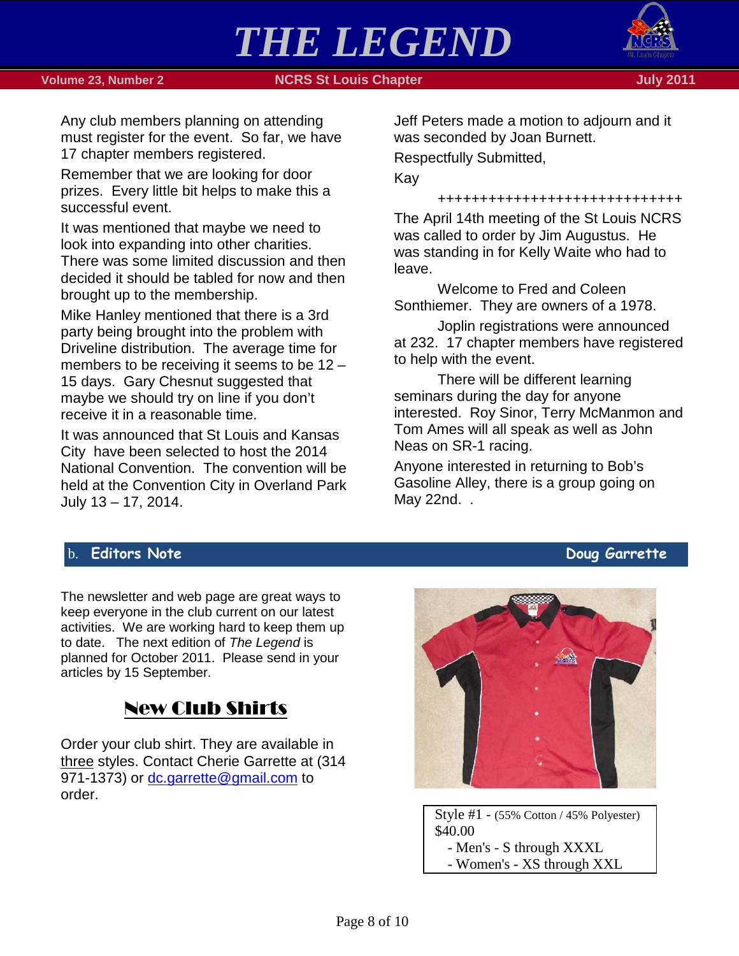



Any club members planning on attending must register for the event. So far, we have 17 chapter members registered.

Remember that we are looking for door prizes. Every little bit helps to make this a successful event.

It was mentioned that maybe we need to look into expanding into other charities. There was some limited discussion and then decided it should be tabled for now and then brought up to the membership.

Mike Hanley mentioned that there is a 3rd party being brought into the problem with Driveline distribution. The average time for members to be receiving it seems to be 12 – 15 days. Gary Chesnut suggested that maybe we should try on line if you don't receive it in a reasonable time.

It was announced that St Louis and Kansas City have been selected to host the 2014 National Convention. The convention will be held at the Convention City in Overland Park July 13 – 17, 2014.

Jeff Peters made a motion to adjourn and it was seconded by Joan Burnett.

Respectfully Submitted,

Kay

+++++++++++++++++++++++++++++

The April 14th meeting of the St Louis NCRS was called to order by Jim Augustus. He was standing in for Kelly Waite who had to leave.

Welcome to Fred and Coleen Sonthiemer. They are owners of a 1978.

Joplin registrations were announced at 232. 17 chapter members have registered to help with the event.

There will be different learning seminars during the day for anyone interested. Roy Sinor, Terry McManmon and Tom Ames will all speak as well as John Neas on SR-1 racing.

Anyone interested in returning to Bob's Gasoline Alley, there is a group going on May 22nd. .

## <span id="page-7-0"></span>b. **Editors Note Doug Garrette**

The newsletter and web page are great ways to keep everyone in the club current on our latest activities. We are working hard to keep them up to date. The next edition of *The Legend* is planned for October 2011. Please send in your articles by 15 September.

# New Club Shirts

Order your club shirt. They are available in three styles. Contact Cherie Garrette at (314 971-1373) or [dc.garrette@gmail.com](mailto:dc.garrette@gmail.com) to order.



Style #1 - (55% Cotton / 45% Polyester) \$40.00 - Men's - S through XXXL - Women's - XS through XXL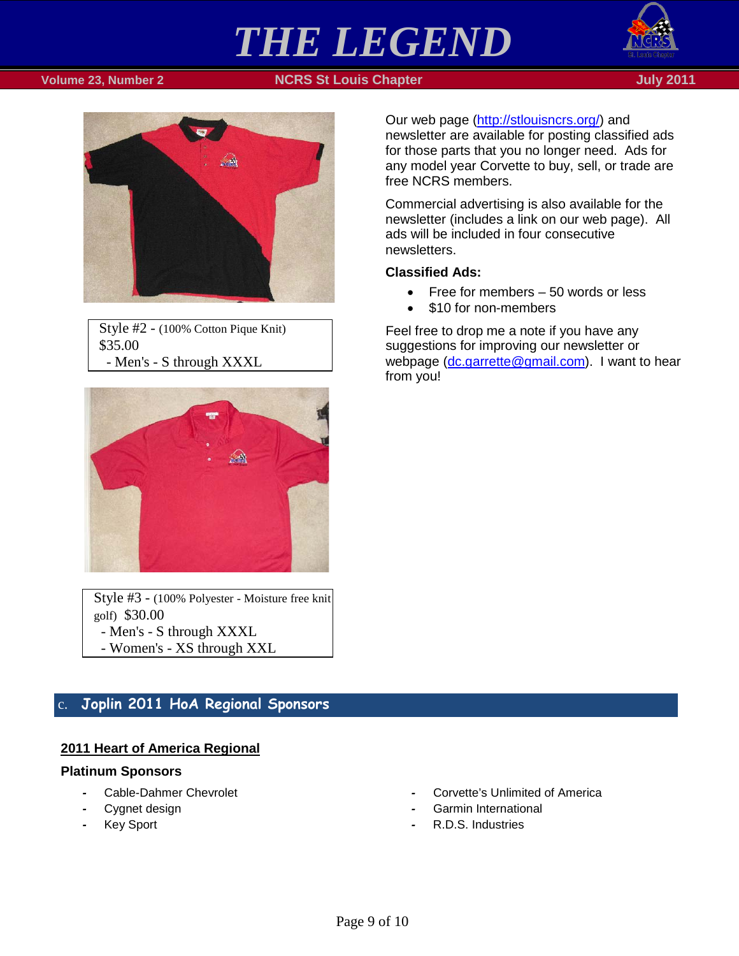

### **Volume 23, Number 2 NGRS St Louis Chapter July 2011 July 2011**



Style #2 - (100% Cotton Pique Knit) \$35.00 - Men's - S through XXXL



Style #3 - (100% Polyester - Moisture free knit golf) \$30.00 - Men's - S through XXXL - Women's - XS through XXL

# <span id="page-8-0"></span>c. **Joplin 2011 HoA Regional Sponsors**

### **2011 Heart of America Regional**

#### **Platinum Sponsors**

- *-* Cable-Dahmer Chevrolet
- Cygnet design
- *-* Key Sport

Our web page [\(http://stlouisncrs.org/\)](http://stlouisncrs.org/) and

newsletter are available for posting classified ads for those parts that you no longer need. Ads for any model year Corvette to buy, sell, or trade are free NCRS members.

Commercial advertising is also available for the newsletter (includes a link on our web page). All ads will be included in four consecutive newsletters.

#### **Classified Ads:**

- Free for members 50 words or less
- \$10 for non-members

Feel free to drop me a note if you have any suggestions for improving our newsletter or webpage [\(dc.garrette@gmail.com\)](mailto:dc.garrette@gmail.com). I want to hear from you!

- *-* Corvette's Unlimited of America
- *-* Garmin International
- *-* R.D.S. Industries